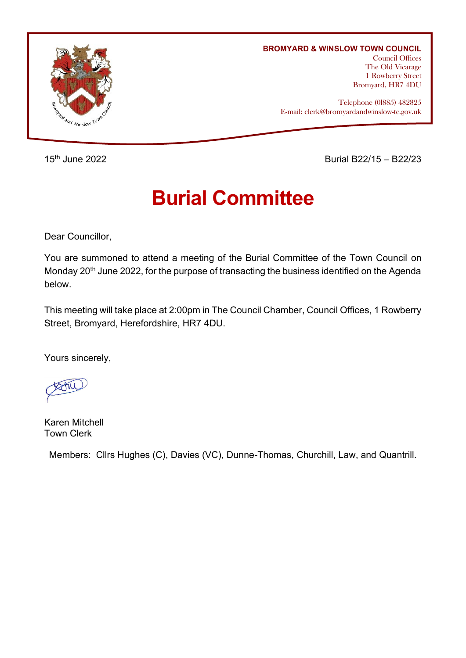

## **BROMYARD & WINSLOW TOWN COUNCIL**

Council Offices The Old Vicarage 1 Rowberry Street Bromyard, HR7 4DU

Telephone (0l885) 482825 E-mail: clerk@bromyardandwinslow-tc.gov.uk

15th June 2022 Burial B22/15 – B22/23

# **Burial Committee**

Dear Councillor,

You are summoned to attend a meeting of the Burial Committee of the Town Council on Monday 20<sup>th</sup> June 2022, for the purpose of transacting the business identified on the Agenda below.

This meeting will take place at 2:00pm in The Council Chamber, Council Offices, 1 Rowberry Street, Bromyard, Herefordshire, HR7 4DU.

Yours sincerely,

Karen Mitchell Town Clerk

Members: Cllrs Hughes (C), Davies (VC), Dunne-Thomas, Churchill, Law, and Quantrill.